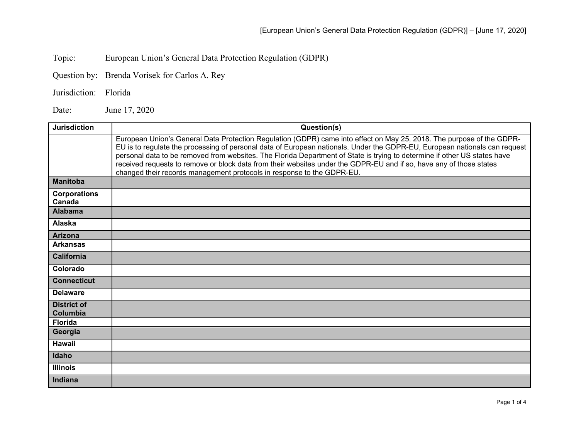Topic: European Union's General Data Protection Regulation (GDPR)

Question by: Brenda Vorisek for Carlos A. Rey

Jurisdiction: Florida

Date: June 17, 2020

| <b>Jurisdiction</b>            | Question(s)                                                                                                                                                                                                                                                                                                                                                                                                                                                                                                                                                                       |
|--------------------------------|-----------------------------------------------------------------------------------------------------------------------------------------------------------------------------------------------------------------------------------------------------------------------------------------------------------------------------------------------------------------------------------------------------------------------------------------------------------------------------------------------------------------------------------------------------------------------------------|
|                                | European Union's General Data Protection Regulation (GDPR) came into effect on May 25, 2018. The purpose of the GDPR-<br>EU is to regulate the processing of personal data of European nationals. Under the GDPR-EU, European nationals can request<br>personal data to be removed from websites. The Florida Department of State is trying to determine if other US states have<br>received requests to remove or block data from their websites under the GDPR-EU and if so, have any of those states<br>changed their records management protocols in response to the GDPR-EU. |
| <b>Manitoba</b>                |                                                                                                                                                                                                                                                                                                                                                                                                                                                                                                                                                                                   |
| <b>Corporations</b><br>Canada  |                                                                                                                                                                                                                                                                                                                                                                                                                                                                                                                                                                                   |
| <b>Alabama</b>                 |                                                                                                                                                                                                                                                                                                                                                                                                                                                                                                                                                                                   |
| <b>Alaska</b>                  |                                                                                                                                                                                                                                                                                                                                                                                                                                                                                                                                                                                   |
| <b>Arizona</b>                 |                                                                                                                                                                                                                                                                                                                                                                                                                                                                                                                                                                                   |
| <b>Arkansas</b>                |                                                                                                                                                                                                                                                                                                                                                                                                                                                                                                                                                                                   |
| <b>California</b>              |                                                                                                                                                                                                                                                                                                                                                                                                                                                                                                                                                                                   |
| Colorado                       |                                                                                                                                                                                                                                                                                                                                                                                                                                                                                                                                                                                   |
| <b>Connecticut</b>             |                                                                                                                                                                                                                                                                                                                                                                                                                                                                                                                                                                                   |
| <b>Delaware</b>                |                                                                                                                                                                                                                                                                                                                                                                                                                                                                                                                                                                                   |
| <b>District of</b><br>Columbia |                                                                                                                                                                                                                                                                                                                                                                                                                                                                                                                                                                                   |
| <b>Florida</b>                 |                                                                                                                                                                                                                                                                                                                                                                                                                                                                                                                                                                                   |
| Georgia                        |                                                                                                                                                                                                                                                                                                                                                                                                                                                                                                                                                                                   |
| <b>Hawaii</b>                  |                                                                                                                                                                                                                                                                                                                                                                                                                                                                                                                                                                                   |
| Idaho                          |                                                                                                                                                                                                                                                                                                                                                                                                                                                                                                                                                                                   |
| <b>Illinois</b>                |                                                                                                                                                                                                                                                                                                                                                                                                                                                                                                                                                                                   |
| Indiana                        |                                                                                                                                                                                                                                                                                                                                                                                                                                                                                                                                                                                   |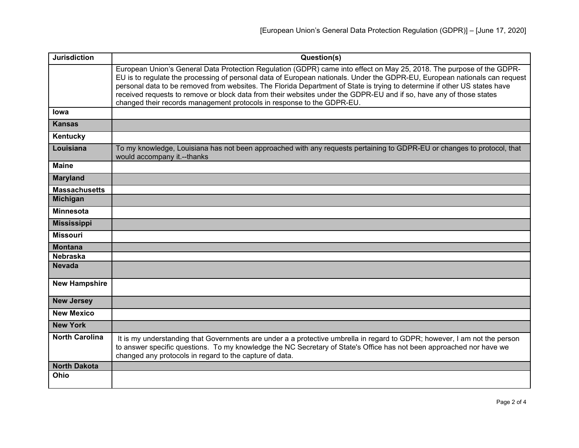| <b>Jurisdiction</b>   | Question(s)                                                                                                                                                                                                                                                                                                                                                                                                                                                                                                                                                                       |
|-----------------------|-----------------------------------------------------------------------------------------------------------------------------------------------------------------------------------------------------------------------------------------------------------------------------------------------------------------------------------------------------------------------------------------------------------------------------------------------------------------------------------------------------------------------------------------------------------------------------------|
|                       | European Union's General Data Protection Regulation (GDPR) came into effect on May 25, 2018. The purpose of the GDPR-<br>EU is to regulate the processing of personal data of European nationals. Under the GDPR-EU, European nationals can request<br>personal data to be removed from websites. The Florida Department of State is trying to determine if other US states have<br>received requests to remove or block data from their websites under the GDPR-EU and if so, have any of those states<br>changed their records management protocols in response to the GDPR-EU. |
| lowa                  |                                                                                                                                                                                                                                                                                                                                                                                                                                                                                                                                                                                   |
| <b>Kansas</b>         |                                                                                                                                                                                                                                                                                                                                                                                                                                                                                                                                                                                   |
| Kentucky              |                                                                                                                                                                                                                                                                                                                                                                                                                                                                                                                                                                                   |
| Louisiana             | To my knowledge, Louisiana has not been approached with any requests pertaining to GDPR-EU or changes to protocol, that<br>would accompany it.--thanks                                                                                                                                                                                                                                                                                                                                                                                                                            |
| <b>Maine</b>          |                                                                                                                                                                                                                                                                                                                                                                                                                                                                                                                                                                                   |
| <b>Maryland</b>       |                                                                                                                                                                                                                                                                                                                                                                                                                                                                                                                                                                                   |
| <b>Massachusetts</b>  |                                                                                                                                                                                                                                                                                                                                                                                                                                                                                                                                                                                   |
| <b>Michigan</b>       |                                                                                                                                                                                                                                                                                                                                                                                                                                                                                                                                                                                   |
| <b>Minnesota</b>      |                                                                                                                                                                                                                                                                                                                                                                                                                                                                                                                                                                                   |
| <b>Mississippi</b>    |                                                                                                                                                                                                                                                                                                                                                                                                                                                                                                                                                                                   |
| <b>Missouri</b>       |                                                                                                                                                                                                                                                                                                                                                                                                                                                                                                                                                                                   |
| <b>Montana</b>        |                                                                                                                                                                                                                                                                                                                                                                                                                                                                                                                                                                                   |
| <b>Nebraska</b>       |                                                                                                                                                                                                                                                                                                                                                                                                                                                                                                                                                                                   |
| <b>Nevada</b>         |                                                                                                                                                                                                                                                                                                                                                                                                                                                                                                                                                                                   |
| <b>New Hampshire</b>  |                                                                                                                                                                                                                                                                                                                                                                                                                                                                                                                                                                                   |
| <b>New Jersey</b>     |                                                                                                                                                                                                                                                                                                                                                                                                                                                                                                                                                                                   |
| <b>New Mexico</b>     |                                                                                                                                                                                                                                                                                                                                                                                                                                                                                                                                                                                   |
| <b>New York</b>       |                                                                                                                                                                                                                                                                                                                                                                                                                                                                                                                                                                                   |
| <b>North Carolina</b> | It is my understanding that Governments are under a a protective umbrella in regard to GDPR; however, I am not the person<br>to answer specific questions. To my knowledge the NC Secretary of State's Office has not been approached nor have we<br>changed any protocols in regard to the capture of data.                                                                                                                                                                                                                                                                      |
| <b>North Dakota</b>   |                                                                                                                                                                                                                                                                                                                                                                                                                                                                                                                                                                                   |
| Ohio                  |                                                                                                                                                                                                                                                                                                                                                                                                                                                                                                                                                                                   |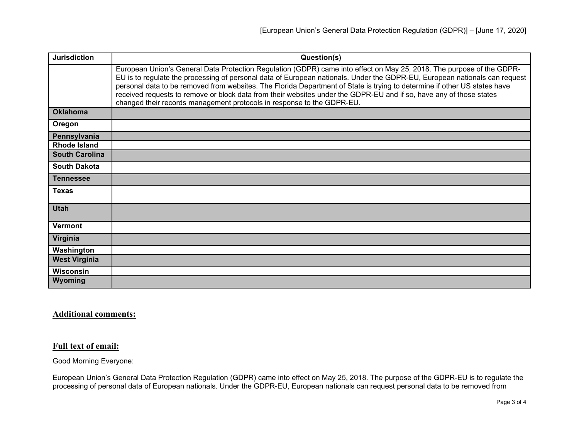| <b>Jurisdiction</b>   | Question(s)                                                                                                                                                                                                                                                                                                                                                                                                                                                                                                                                                                       |
|-----------------------|-----------------------------------------------------------------------------------------------------------------------------------------------------------------------------------------------------------------------------------------------------------------------------------------------------------------------------------------------------------------------------------------------------------------------------------------------------------------------------------------------------------------------------------------------------------------------------------|
|                       | European Union's General Data Protection Regulation (GDPR) came into effect on May 25, 2018. The purpose of the GDPR-<br>EU is to regulate the processing of personal data of European nationals. Under the GDPR-EU, European nationals can request<br>personal data to be removed from websites. The Florida Department of State is trying to determine if other US states have<br>received requests to remove or block data from their websites under the GDPR-EU and if so, have any of those states<br>changed their records management protocols in response to the GDPR-EU. |
| <b>Oklahoma</b>       |                                                                                                                                                                                                                                                                                                                                                                                                                                                                                                                                                                                   |
| Oregon                |                                                                                                                                                                                                                                                                                                                                                                                                                                                                                                                                                                                   |
| Pennsylvania          |                                                                                                                                                                                                                                                                                                                                                                                                                                                                                                                                                                                   |
| <b>Rhode Island</b>   |                                                                                                                                                                                                                                                                                                                                                                                                                                                                                                                                                                                   |
| <b>South Carolina</b> |                                                                                                                                                                                                                                                                                                                                                                                                                                                                                                                                                                                   |
| <b>South Dakota</b>   |                                                                                                                                                                                                                                                                                                                                                                                                                                                                                                                                                                                   |
| <b>Tennessee</b>      |                                                                                                                                                                                                                                                                                                                                                                                                                                                                                                                                                                                   |
| <b>Texas</b>          |                                                                                                                                                                                                                                                                                                                                                                                                                                                                                                                                                                                   |
| <b>Utah</b>           |                                                                                                                                                                                                                                                                                                                                                                                                                                                                                                                                                                                   |
| <b>Vermont</b>        |                                                                                                                                                                                                                                                                                                                                                                                                                                                                                                                                                                                   |
| Virginia              |                                                                                                                                                                                                                                                                                                                                                                                                                                                                                                                                                                                   |
| Washington            |                                                                                                                                                                                                                                                                                                                                                                                                                                                                                                                                                                                   |
| <b>West Virginia</b>  |                                                                                                                                                                                                                                                                                                                                                                                                                                                                                                                                                                                   |
| <b>Wisconsin</b>      |                                                                                                                                                                                                                                                                                                                                                                                                                                                                                                                                                                                   |
| Wyoming               |                                                                                                                                                                                                                                                                                                                                                                                                                                                                                                                                                                                   |

## **Additional comments:**

## **Full text of email:**

Good Morning Everyone:

European Union's General Data Protection Regulation (GDPR) came into effect on May 25, 2018. The purpose of the GDPR-EU is to regulate the processing of personal data of European nationals. Under the GDPR-EU, European nationals can request personal data to be removed from